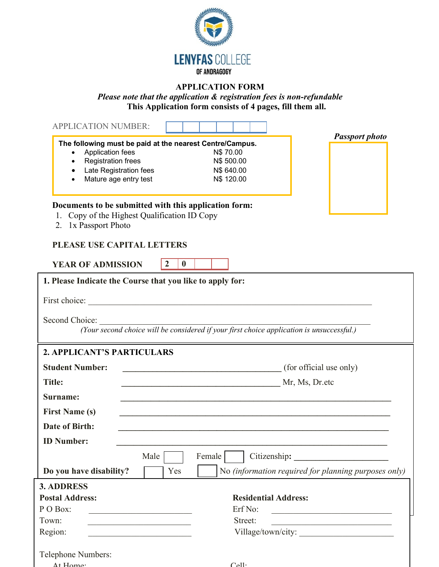

# **APPLICATION FORM**

*Please note that the application & registration fees is non-refundable* **This Application form consists of 4 pages, fill them all.**

| <b>APPLICATION NUMBER:</b>                                                                                                                                  |                                                                                                                        |                                                                                                                     |
|-------------------------------------------------------------------------------------------------------------------------------------------------------------|------------------------------------------------------------------------------------------------------------------------|---------------------------------------------------------------------------------------------------------------------|
| Application fees<br>$\bullet$<br><b>Registration frees</b><br>$\bullet$<br>Late Registration fees<br>$\bullet$<br>Mature age entry test<br>$\bullet$        | The following must be paid at the nearest Centre/Campus.<br>N\$70.00<br>N\$ 500.00<br>N\$ 640.00<br>N\$ 120.00         | <b>Passport photo</b>                                                                                               |
| Documents to be submitted with this application form:<br>1. Copy of the Highest Qualification ID Copy<br>2. 1x Passport Photo<br>PLEASE USE CAPITAL LETTERS |                                                                                                                        |                                                                                                                     |
| <b>YEAR OF ADMISSION</b>                                                                                                                                    | $\overline{2}$<br>$\bf{0}$                                                                                             |                                                                                                                     |
| 1. Please Indicate the Course that you like to apply for:                                                                                                   |                                                                                                                        |                                                                                                                     |
|                                                                                                                                                             |                                                                                                                        |                                                                                                                     |
| Second Choice:                                                                                                                                              | (Your second choice will be considered if your first choice application is unsuccessful.)                              |                                                                                                                     |
| <b>2. APPLICANT'S PARTICULARS</b>                                                                                                                           |                                                                                                                        |                                                                                                                     |
| <b>Student Number:</b>                                                                                                                                      | <u> 1980 - Johann Barn, mars ann an t-Amhain Aonaich an t-Aonaich an t-Aonaich ann an t-Aonaich ann an t-Aonaich</u>   | (for official use only)                                                                                             |
| <b>Title:</b>                                                                                                                                               | <u> 1989 - Johann Stoff, deutscher Stoffen und der Stoffen und der Stoffen und der Stoffen und der Stoffen und der</u> | Mr, Ms, Dr.etc                                                                                                      |
| Surname:                                                                                                                                                    |                                                                                                                        |                                                                                                                     |
| <b>First Name (s)</b>                                                                                                                                       |                                                                                                                        |                                                                                                                     |
| Date of Birth:                                                                                                                                              |                                                                                                                        |                                                                                                                     |
| <b>ID Number:</b>                                                                                                                                           |                                                                                                                        |                                                                                                                     |
| Male                                                                                                                                                        | Female                                                                                                                 | Citizenship:                                                                                                        |
| Do you have disability?                                                                                                                                     | Yes                                                                                                                    | No (information required for planning purposes only)                                                                |
| <b>3. ADDRESS</b>                                                                                                                                           |                                                                                                                        |                                                                                                                     |
| <b>Postal Address:</b>                                                                                                                                      | <b>Residential Address:</b>                                                                                            |                                                                                                                     |
| P O Box:                                                                                                                                                    | Erf No:                                                                                                                | <u> 1989 - Johann Barbara, martxa alemaniar a</u>                                                                   |
| Town:<br>the control of the control of the control of the control of the control of                                                                         | Street:                                                                                                                | <u> 1989 - Johann John Stone, mars eta bainar eta mondo eta erromana eta erromana eta erromana eta erromana eta</u> |
| Region:                                                                                                                                                     |                                                                                                                        | Village/town/city:                                                                                                  |
| Telephone Numbers:                                                                                                                                          |                                                                                                                        |                                                                                                                     |
| At Hame                                                                                                                                                     | $C_1$ <sup>1.</sup>                                                                                                    |                                                                                                                     |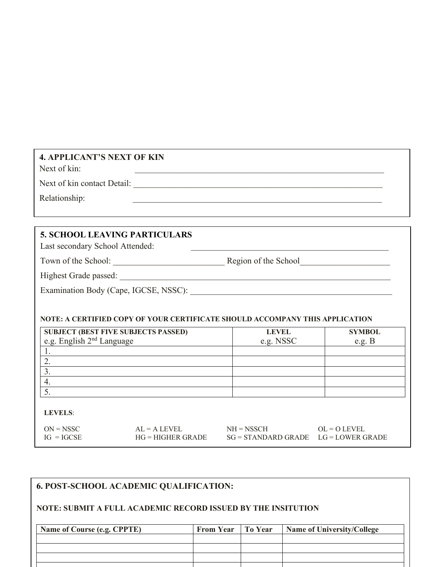#### **4. APPLICANT'S NEXT OF KIN**

Next of kin:

Next of kin contact Detail: \_\_\_\_\_\_\_\_\_\_\_\_\_\_\_\_\_\_\_\_\_\_\_\_\_\_\_\_\_\_\_\_\_\_\_\_\_\_\_\_\_\_\_\_\_\_\_\_\_\_\_\_\_\_\_\_\_\_

Relationship:

## **5. SCHOOL LEAVING PARTICULARS**

Last secondary School Attended:

Town of the School: \_\_\_\_\_\_\_\_\_\_\_\_\_\_\_\_\_\_\_\_\_\_\_\_\_\_ Region of the School\_\_\_\_\_\_\_\_\_\_\_\_\_\_\_\_\_\_\_\_\_

Highest Grade passed: \_\_\_\_\_\_\_\_\_\_\_\_\_\_\_\_\_\_\_\_\_\_\_\_\_\_\_\_\_\_\_\_\_\_\_\_\_\_\_\_\_\_\_\_\_\_\_\_\_\_\_\_\_\_\_\_\_\_\_\_\_\_\_ Examination Body (Cape, IGCSE, NSSC): \_\_\_\_\_\_\_\_\_\_\_\_\_\_\_\_\_\_\_\_\_\_\_\_\_\_\_\_\_\_\_\_\_\_\_\_\_\_\_\_\_\_\_\_\_\_\_

### **NOTE: A CERTIFIED COPY OF YOUR CERTIFICATE SHOULD ACCOMPANY THIS APPLICATION**

| <b>SUBJECT (BEST FIVE SUBJECTS PASSED)</b><br>e.g. English 2 <sup>nd</sup> Language | <b>LEVEL</b> | <b>SYMBOL</b> |
|-------------------------------------------------------------------------------------|--------------|---------------|
|                                                                                     | e.g. NSSC    | e.g. B        |
|                                                                                     |              |               |
|                                                                                     |              |               |
| $\overline{\phantom{a}}$ .                                                          |              |               |

**LEVELS**:

| $ON = NSSC$  | $AL = A LEVEL$      | $NH = NSSCH$                             | $OL = O$ LEVEL |
|--------------|---------------------|------------------------------------------|----------------|
| $IG = IGCSE$ | $HG = HIGHER GRADE$ | $SG = STANDARD$ GRADE $LG = LOWER$ GRADE |                |

| <b>6. POST-SCHOOL ACADEMIC QUALIFICATION:</b>                |                  |                |                                   |
|--------------------------------------------------------------|------------------|----------------|-----------------------------------|
| NOTE: SUBMIT A FULL ACADEMIC RECORD ISSUED BY THE INSITUTION |                  |                |                                   |
| Name of Course (e.g. CPPTE)                                  | <b>From Year</b> | <b>To Year</b> | <b>Name of University/College</b> |
|                                                              |                  |                |                                   |
|                                                              |                  |                |                                   |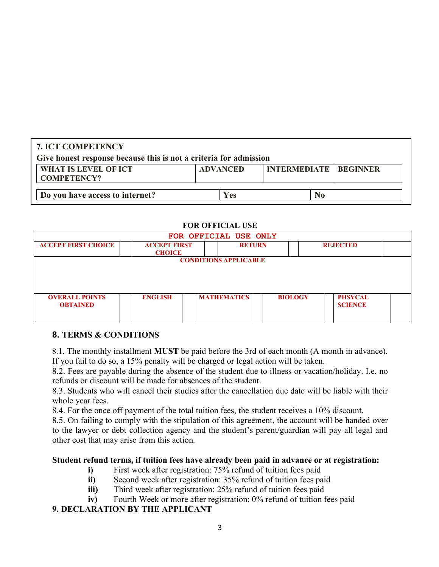| <b>7. ICT COMPETENCY</b>                                          |                 |                                |  |  |  |
|-------------------------------------------------------------------|-----------------|--------------------------------|--|--|--|
| Give honest response because this is not a criteria for admission |                 |                                |  |  |  |
| <b>WHAT IS LEVEL OF ICT</b><br><b>COMPETENCY?</b>                 | <b>ADVANCED</b> | <b>INTERMEDIATE   BEGINNER</b> |  |  |  |
| Do you have access to internet?                                   | Yes             | No                             |  |  |  |

|                                          |                                      | <b>FOR OFFICIAL USE</b> |                |                                  |  |  |
|------------------------------------------|--------------------------------------|-------------------------|----------------|----------------------------------|--|--|
|                                          |                                      | FOR OFFICIAL USE ONLY   |                |                                  |  |  |
| <b>ACCEPT FIRST CHOICE</b>               | <b>ACCEPT FIRST</b><br><b>CHOICE</b> | <b>RETURN</b>           |                | <b>REJECTED</b>                  |  |  |
| <b>CONDITIONS APPLICABLE</b>             |                                      |                         |                |                                  |  |  |
| <b>OVERALL POINTS</b><br><b>OBTAINED</b> | <b>ENGLISH</b>                       | <b>MATHEMATICS</b>      | <b>BIOLOGY</b> | <b>PHSYCAL</b><br><b>SCIENCE</b> |  |  |

### **8. TERMS & CONDITIONS**

8.1. The monthly installment **MUST** be paid before the 3rd of each month (A month in advance). If you fail to do so, a 15% penalty will be charged or legal action will be taken.

8.2. Fees are payable during the absence of the student due to illness or vacation/holiday. I.e. no refunds or discount will be made for absences of the student.

8.3. Students who will cancel their studies after the cancellation due date will be liable with their whole year fees.

8.4. For the once off payment of the total tuition fees, the student receives a 10% discount.

8.5. On failing to comply with the stipulation of this agreement, the account will be handed over to the lawyer or debt collection agency and the student's parent/guardian will pay all legal and other cost that may arise from this action.

### **Student refund terms, if tuition fees have already been paid in advance or at registration:**

- **i**) First week after registration: 75% refund of tuition fees paid
- **ii**) Second week after registration: 35% refund of tuition fees paid
- **iii)** Third week after registration: 25% refund of tuition fees paid
- **iv)** Fourth Week or more after registration: 0% refund of tuition fees paid

## **9. DECLARATION BY THE APPLICANT**